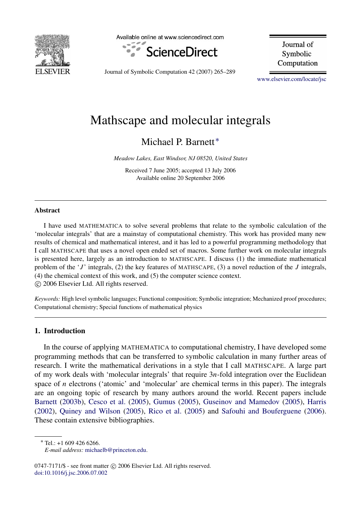

Available online at www.sciencedirect.com



Journal of Symbolic Computation

Journal of Symbolic Computation 42 (2007) 265–289

[www.elsevier.com/locate/jsc](http://www.elsevier.com/locate/jsc)

# Mathscape and molecular integrals

Michael P. Barnett<sup>\*</sup>

*Meadow Lakes, East Windsor, NJ 08520, United States*

Received 7 June 2005; accepted 13 July 2006 Available online 20 September 2006

#### Abstract

I have used MATHEMATICA to solve several problems that relate to the symbolic calculation of the 'molecular integrals' that are a mainstay of computational chemistry. This work has provided many new results of chemical and mathematical interest, and it has led to a powerful programming methodology that I call MATHSCAPE that uses a novel open ended set of macros. Some further work on molecular integrals is presented here, largely as an introduction to MATHSCAPE. I discuss (1) the immediate mathematical problem of the '*J* ' integrals, (2) the key features of MATHSCAPE, (3) a novel reduction of the *J* integrals, (4) the chemical context of this work, and (5) the computer science context. c 2006 Elsevier Ltd. All rights reserved.

*Keywords:* High level symbolic languages; Functional composition; Symbolic integration; Mechanized proof procedures; Computational chemistry; Special functions of mathematical physics

# 1. Introduction

In the course of applying MATHEMATICA to computational chemistry, I have developed some programming methods that can be transferred to symbolic calculation in many further areas of research. I write the mathematical derivations in a style that I call MATHSCAPE. A large part of my work deals with 'molecular integrals' that require 3*n*-fold integration over the Euclidean space of *n* electrons ('atomic' and 'molecular' are chemical terms in this paper). The integrals are an ongoing topic of research by many authors around the world. Recent papers include [Barnett](#page-24-0) [\(2003b\)](#page-24-0), [Cesco et al.](#page-24-1) [\(2005\)](#page-24-1), [Gumus](#page-24-2) [\(2005\)](#page-24-2), [Guseinov and Mamedov](#page-24-3) [\(2005\)](#page-24-3), [Harris](#page-24-4) [\(2002\)](#page-24-4), [Quiney and Wilson](#page-24-5) [\(2005\)](#page-24-5), [Rico et al.](#page-24-6) [\(2005\)](#page-24-6) and [Safouhi and Bouferguene](#page-24-7) [\(2006\)](#page-24-7). These contain extensive bibliographies.

<span id="page-0-0"></span><sup>∗</sup> Tel.: +1 609 426 6266.

 $0747-7171/\$  - see front matter  $\odot$  2006 Elsevier Ltd. All rights reserved. [doi:10.1016/j.jsc.2006.07.002](http://dx.doi.org/10.1016/j.jsc.2006.07.002)

*E-mail address:* [michaelb@princeton.edu.](mailto:michaelb@princeton.edu)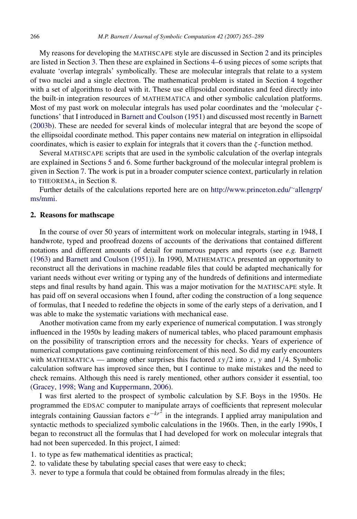My reasons for developing the MATHSCAPE style are discussed in Section [2](#page-1-0) and its principles are listed in Section [3.](#page-2-0) Then these are explained in Sections [4–](#page-5-0)[6](#page-13-0) using pieces of some scripts that evaluate 'overlap integrals' symbolically. These are molecular integrals that relate to a system of two nuclei and a single electron. The mathematical problem is stated in Section [4](#page-5-0) together with a set of algorithms to deal with it. These use ellipsoidal coordinates and feed directly into the built-in integration resources of MATHEMATICA and other symbolic calculation platforms. Most of my past work on molecular integrals has used polar coordinates and the 'molecular  $\zeta$ functions' that I introduced in [Barnett and Coulson](#page-24-8) [\(1951\)](#page-24-8) and discussed most recently in [Barnett](#page-24-0) [\(2003b\)](#page-24-0). These are needed for several kinds of molecular integral that are beyond the scope of the ellipsoidal coordinate method. This paper contains new material on integration in ellipsoidal coordinates, which is easier to explain for integrals that it covers than the  $\zeta$ -function method.

Several MATHSCAPE scripts that are used in the symbolic calculation of the overlap integrals are explained in Sections [5](#page-9-0) and [6.](#page-13-0) Some further background of the molecular integral problem is given in Section [7.](#page-21-0) The work is put in a broader computer science context, particularly in relation to THEOREMA, in Section [8.](#page-22-0)

Further details of the calculations reported here are on [http://www.princeton.edu/](http://www.princeton.edu/~allengrp/ms/mmi)∼[allengrp/](http://www.princeton.edu/~allengrp/ms/mmi) [ms/mmi.](http://www.princeton.edu/~allengrp/ms/mmi)

#### <span id="page-1-0"></span>2. Reasons for mathscape

In the course of over 50 years of intermittent work on molecular integrals, starting in 1948, I handwrote, typed and proofread dozens of accounts of the derivations that contained different notations and different amounts of detail for numerous papers and reports (see *e.g.* [Barnett](#page-23-0) [\(1963\)](#page-23-0) and [Barnett and Coulson](#page-24-8) [\(1951\)](#page-24-8)). In 1990, MATHEMATICA presented an opportunity to reconstruct all the derivations in machine readable files that could be adapted mechanically for variant needs without ever writing or typing any of the hundreds of definitions and intermediate steps and final results by hand again. This was a major motivation for the MATHSCAPE style. It has paid off on several occasions when I found, after coding the construction of a long sequence of formulas, that I needed to redefine the objects in some of the early steps of a derivation, and I was able to make the systematic variations with mechanical ease.

Another motivation came from my early experience of numerical computation. I was strongly influenced in the 1950s by leading makers of numerical tables, who placed paramount emphasis on the possibility of transcription errors and the necessity for checks. Years of experience of numerical computations gave continuing reinforcement of this need. So did my early encounters with MATHEMATICA — among other surprises this factored  $xy/2$  into  $x$ ,  $y$  and  $1/4$ . Symbolic calculation software has improved since then, but I continue to make mistakes and the need to check remains. Although this need is rarely mentioned, other authors consider it essential, too [\(Gracey,](#page-24-9) [1998;](#page-24-9) [Wang and Kuppermann,](#page-24-10) [2006\)](#page-24-10).

I was first alerted to the prospect of symbolic calculation by S.F. Boys in the 1950s. He programmed the EDSAC computer to manipulate arrays of coefficients that represent molecular integrals containing Gaussian factors e<sup>-kr2</sup> in the integrands. I applied array manipulation and syntactic methods to specialized symbolic calculations in the 1960s. Then, in the early 1990s, I began to reconstruct all the formulas that I had developed for work on molecular integrals that had not been superceded. In this project, I aimed:

- 1. to type as few mathematical identities as practical;
- 2. to validate these by tabulating special cases that were easy to check;
- 3. never to type a formula that could be obtained from formulas already in the files;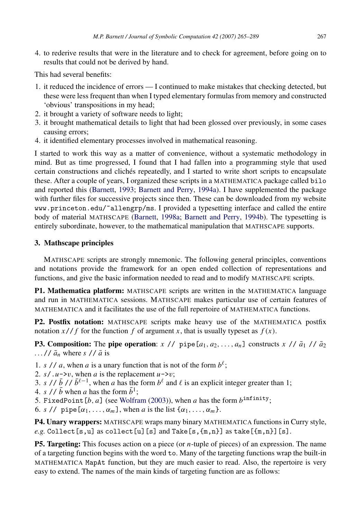4. to rederive results that were in the literature and to check for agreement, before going on to results that could not be derived by hand.

This had several benefits:

- 1. it reduced the incidence of errors I continued to make mistakes that checking detected, but these were less frequent than when I typed elementary formulas from memory and constructed 'obvious' transpositions in my head;
- 2. it brought a variety of software needs to light;
- 3. it brought mathematical details to light that had been glossed over previously, in some cases causing errors;
- 4. it identified elementary processes involved in mathematical reasoning.

I started to work this way as a matter of convenience, without a systematic methodology in mind. But as time progressed, I found that I had fallen into a programming style that used certain constructions and clichés repeatedly, and I started to write short scripts to encapsulate these. After a couple of years, I organized these scripts in a MATHEMATICA package called bilo and reported this [\(Barnett,](#page-23-1) [1993;](#page-23-1) [Barnett and Perry,](#page-24-11) [1994a\)](#page-24-11). I have supplemented the package with further files for successive projects since then. These can be downloaded from my website www.princeton.edu/~allengrp/ms. I provided a typesetting interface and called the entire body of material MATHSCAPE [\(Barnett,](#page-23-2) [1998a;](#page-23-2) [Barnett and Perry,](#page-24-12) [1994b\)](#page-24-12). The typesetting is entirely subordinate, however, to the mathematical manipulation that MATHSCAPE supports.

# <span id="page-2-0"></span>3. Mathscape principles

MATHSCAPE scripts are strongly mnemonic. The following general principles, conventions and notations provide the framework for an open ended collection of representations and functions, and give the basic information needed to read and to modify MATHSCAPE scripts.

P1. Mathematica platform: MATHSCAPE scripts are written in the MATHEMATICA language and run in MATHEMATICA sessions. MATHSCAPE makes particular use of certain features of MATHEMATICA and it facilitates the use of the full repertoire of MATHEMATICA functions.

P2. Postfix notation: MATHSCAPE scripts make heavy use of the MATHEMATICA postfix notation  $x$  // *f* for the function *f* of argument *x*, that is usually typeset as  $f(x)$ .

**P3. Composition:** The pipe operation: *x* // pipe  $[a_1, a_2, \ldots, a_n]$  constructs *x* //  $\bar{a}_1$  //  $\bar{a}_2$ ...//  $\bar{a}_n$  where *s* //  $\bar{a}$  is

- 1. *s* // *a*, when *a* is a unary function that is not of the form  $b^{\ell}$ ;
- 2.  $s / .u \rightarrow v$ , when *a* is the replacement  $u \rightarrow v$ ;
- 3. *s* //  $\bar{b}$  //  $\bar{b}^{\ell-1}$ , when *a* has the form  $b^{\ell}$  and  $\ell$  is an explicit integer greater than 1;
- 4. *s* //  $\bar{b}$  when *a* has the form  $\bar{b}^1$ ;
- 5. FixedPoint  $[b, a]$  (see [Wolfram](#page-24-13) [\(2003\)](#page-24-13)), when  $a$  has the form  $b^{\text{infinity}}$ ;
- 6. *s* // pipe  $[\alpha_1, \ldots, \alpha_m]$ , when *a* is the list  $\{\alpha_1, \ldots, \alpha_m\}$ .

P4. Unary wrappers: MATHSCAPE wraps many binary MATHEMATICA functions in Curry style,  $e.g.$  Collect [s,u] as collect [u] [s] and Take [s, $\{m,n\}$ ] as take [ $\{m,n\}$ ] [s].

P5. Targeting: This focuses action on a piece (or *n*-tuple of pieces) of an expression. The name of a targeting function begins with the word to. Many of the targeting functions wrap the built-in MATHEMATICA MapAt function, but they are much easier to read. Also, the repertoire is very easy to extend. The names of the main kinds of targeting function are as follows: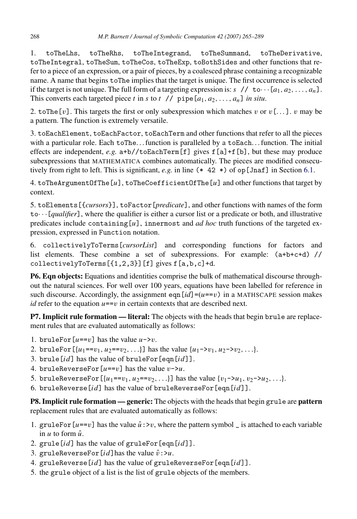1. toTheLhs, toTheRhs, toTheIntegrand, toTheSummand, toTheDerivative, toTheIntegral, toTheSum, toTheCos, toTheExp, toBothSides and other functions that refer to a piece of an expression, or a pair of pieces, by a coalesced phrase containing a recognizable name. A name that begins toThe implies that the target is unique. The first occurrence is selected if the target is not unique. The full form of a targeting expression is:  $s$  // to  $\cdots$  [ $a_1, a_2, \ldots, a_n$ ]. This converts each targeted piece *t* in *s* to *t* // pipe $[a_1, a_2, \ldots, a_n]$  *in situ*.

2. toThe [v]. This targets the first or only subexpression which matches v or  $v$  [...]. v may be a pattern. The function is extremely versatile.

3. toEachElement, toEachFactor, toEachTerm and other functions that refer to all the pieces with a particular role. Each toThe... function is paralleled by a toEach... function. The initial effects are independent, *e.g.* a+b//toEachTerm[f] gives f[a]+f[b], but these may produce subexpressions that MATHEMATICA combines automatically. The pieces are modified consecutively from right to left. This is significant, *e.g.* in line (\* 42 \*) of op[Jnaf] in Section [6.1.](#page-13-1)

4. toTheArgumentOfThe[*u*], toTheCoefficientOfThe[*u*] and other functions that target by context.

5. toElements[{*cursors*}], toFactor[*predicate*], and other functions with names of the form  $\text{to} \cdot \cdot \cdot$  [*qualifier*], where the qualifier is either a cursor list or a predicate or both, and illustrative predicates include containing[*u*], innermost and *ad hoc* truth functions of the targeted expression, expressed in Function notation.

6. collectivelyToTerms[*cursorList*] and corresponding functions for factors and list elements. These combine a set of subexpressions. For example: (a+b+c+d) // collectivelyToTerms[{1,2,3}][f] gives f[a,b,c]+d.

P6. Eqn objects: Equations and identities comprise the bulk of mathematical discourse throughout the natural sciences. For well over 100 years, equations have been labelled for reference in such discourse. Accordingly, the assignment eqn  $(id] = (u == v)$  in a MATHSCAPE session makes *id* refer to the equation  $u == v$  in certain contexts that are described next.

P7. Implicit rule formation — literal: The objects with the heads that begin brule are replacement rules that are evaluated automatically as follows:

- 1. bruleFor $[u == v]$  has the value  $u \rightarrow v$ .
- 2. bruleFor  $[\{u_1 == v_1, u_2 == v_2, ...\}]$  has the value  $\{u_1 \lambda v_1, u_2 \lambda v_2, ...\}$ .
- 3. brule[*id*] has the value of bruleFor[eqn[*id*]].
- 4. bruleReverseFor $[u == v]$  has the value  $v \rightarrow u$ .
- 5. bruleReverseFor $[\{u_1 = v_1, u_2 = v_2, ...\}]$  has the value  $\{v_1 > u_1, v_2 > u_2, ...\}$ .
- 6. bruleReverse[*id*] has the value of bruleReverseFor[eqn[*id*]].

**P8. Implicit rule formation — generic:** The objects with the heads that begin grule are **pattern** replacement rules that are evaluated automatically as follows:

- 1. gruleFor  $\left[u == v\right]$  has the value  $\hat{u}$  : >v, where the pattern symbol \_ is attached to each variable in  $u$  to form  $\hat{u}$ .
- 2. grule[*id*] has the value of gruleFor[eqn[*id*]].
- 3. gruleReverseFor $[id]$ has the value  $\hat{v}$ : >*u*.
- 4. gruleReverse[*id*] has the value of gruleReverseFor[eqn[*id*]].
- 5. the grule object of a list is the list of grule objects of the members.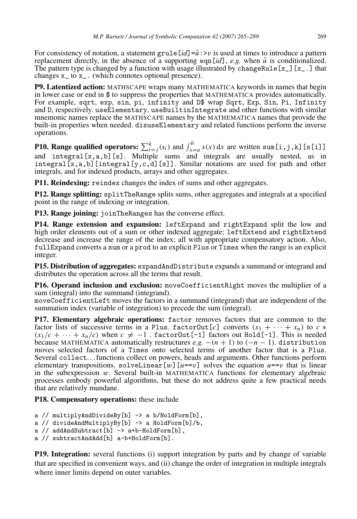For consistency of notation, a statement grule  $\left[id\right]=\hat{u}$ :  $\nu$  is used at times to introduce a pattern replacement directly, in the absence of a supporting eqn[ $id$ ], *e.g.* when  $\hat{u}$  is conditionalized. The pattern type is changed by a function with usage illustrated by changeRule[x\_][x\_.] that changes  $x_$  to  $x_$ . (which connotes optional presence).

P9. Latentized action: MATHSCAPE wraps many MATHEMATICA keywords in names that begin in lower case or end in \$ to suppress the properties that MATHEMATICA provides automatically. For example, sqrt, exp, sin, pi, infinity and D\$ wrap Sqrt, Exp, Sin, Pi, Infinity and D, respectively. useElementary, useBuiltinIntegrate and other functions with similar mnemonic names replace the MATHSCAPE names by the MATHEMATICA names that provide the built-in properties when needed. disuseElementary and related functions perform the inverse operations.

**P10. Range qualified operators:**  $\sum_{i=j}^{k} (s_i)$  and  $\int_{x=a}^{b} s(x) dx$  are written sum[i,j,k][s[i]] and integral  $[x, a, b]$  [s]. Multiple sums and integrals are usually nested, as in integral  $[x, a, b]$  [integral  $[y, c, d]$  [s]]. Similar notations are used for path and other integrals, and for indexed products, arrays and other aggregates.

P11. Reindexing: reindex changes the index of sums and other aggregates.

P12. Range splitting: splitTheRange splits sums, other aggregates and integrals at a specified point in the range of indexing or integration.

P13. Range joining: joinTheRanges has the converse effect.

P14. Range extension and expansion: leftExpand and rightExpand split the low and high order elements out of a sum or other indexed aggregate; leftExtend and rightExtend decrease and increase the range of the index; all with appropriate compensatory action. Also, fullExpand converts a sum or a prod to an explicit Plus or Times when the range is an explicit integer.

P15. Distribution of aggregates: expandAndDistribute expands a summand or integrand and distributes the operation across all the terms that result.

P16. Operand inclusion and exclusion: moveCoefficientRight moves the multiplier of a sum (integral) into the summand (integrand).

moveCoefficientLeft moves the factors in a summand (integrand) that are independent of the summation index (variable of integration) to precede the sum (integral).

P17. Elementary algebraic operations: factor removes factors that are common to the factor lists of successive terms in a Plus. factor0ut[*c*] converts  $(x_1 + \cdots + x_n)$  to  $c *$  $(x_1/c + \cdots + x_n/c)$  when  $c \neq -1$ . factor0ut [-1] factors out Hold [-1]. This is needed because MATHEMATICA automatically restructures *e.g.*  $-(n + 1)$  to  $(-n - 1)$ . distribution moves selected factors of a Times onto selected terms of another factor that is a Plus. Several collect. . . functions collect on powers, heads and arguments. Other functions perform elementary transpositions. solveLinear [w]  $[u=-v]$  solves the equation  $u=-v$  that is linear in the subexpression  $w$ . Several built-in MATHEMATICA functions for elementary algebraic processes embody powerful algorithms, but these do not address quite a few practical needs that are relatively mundane.

P18. Compensatory operations: these include

```
a // multiplyAndDivideBy[b] -> a b/HoldForm[b],
a // divideAndMultiplyBy[b] -> a HoldForm[b]/b,
a // addAndSubtract[b] -> a+b-HoldForm[b],
a // subtractAndAdd[b] a-b+HoldForm[b].
```
P19. Integration: several functions (i) support integration by parts and by change of variable that are specified in convenient ways, and (ii) change the order of integration in multiple integrals where inner limits depend on outer variables.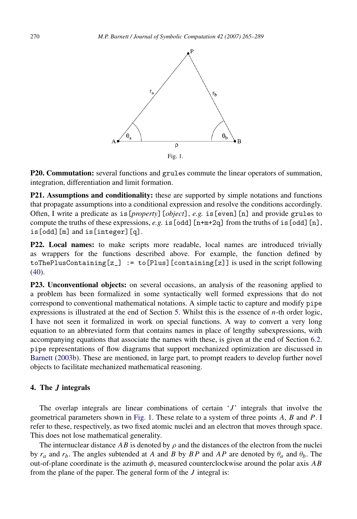<span id="page-5-1"></span>

P20. Commutation: several functions and grules commute the linear operators of summation, integration, differentiation and limit formation.

P21. Assumptions and conditionality: these are supported by simple notations and functions that propagate assumptions into a conditional expression and resolve the conditions accordingly. Often, I write a predicate as is[*property*][*object*], *e.g.* is[even][n] and provide grules to compute the truths of these expressions, *e.g.* is [odd]  $[n+m+2q]$  from the truths of is [odd]  $[n]$ , is[odd][m] and is[integer][q].

P22. Local names: to make scripts more readable, local names are introduced trivially as wrappers for the functions described above. For example, the function defined by  $to$  The PlusContaining  $[z_+]$  := to [Plus] [containing  $[z]$ ] is used in the script following [\(40\)](#page-11-0).

P23. Unconventional objects: on several occasions, an analysis of the reasoning applied to a problem has been formalized in some syntactically well formed expressions that do not correspond to conventional mathematical notations. A simple tactic to capture and modify pipe expressions is illustrated at the end of Section [5.](#page-9-0) Whilst this is the essence of *n*-th order logic, I have not seen it formalized in work on special functions. A way to convert a very long equation to an abbreviated form that contains names in place of lengthy subexpressions, with accompanying equations that associate the names with these, is given at the end of Section [6.2.](#page-17-0) pipe representations of flow diagrams that support mechanized optimization are discussed in [Barnett](#page-24-0) [\(2003b\)](#page-24-0). These are mentioned, in large part, to prompt readers to develop further novel objects to facilitate mechanized mathematical reasoning.

#### <span id="page-5-0"></span>4. The *J* integrals

The overlap integrals are linear combinations of certain '*J* ' integrals that involve the geometrical parameters shown in [Fig.](#page-5-1) [1.](#page-5-1) These relate to a system of three points *A*, *B* and *P*. I refer to these, respectively, as two fixed atomic nuclei and an electron that moves through space. This does not lose mathematical generality.

<span id="page-5-2"></span>The internuclear distance  $AB$  is denoted by  $\rho$  and the distances of the electron from the nuclei by  $r_a$  and  $r_b$ . The angles subtended at *A* and *B* by *BP* and *AP* are denoted by  $\theta_a$  and  $\theta_b$ . The out-of-plane coordinate is the azimuth  $\phi$ , measured counterclockwise around the polar axis *AB* from the plane of the paper. The general form of the *J* integral is: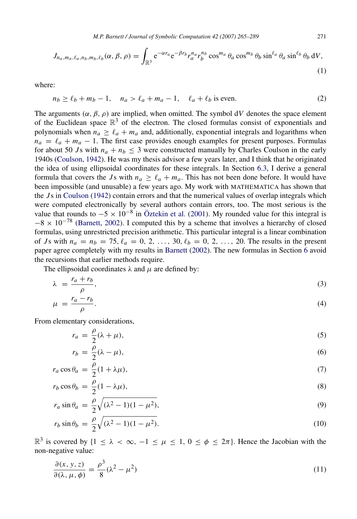*M.P. Barnett / Journal of Symbolic Computation 42 (2007) 265–289* 271

$$
J_{n_a, m_a, \ell_a, n_b, m_b, \ell_b}(\alpha, \beta, \rho) = \int_{\mathbb{R}^3} e^{-\alpha r_a} e^{-\beta r_b} r_a^{n_a} r_b^{n_b} \cos^{m_a} \theta_a \cos^{m_b} \theta_b \sin^{\ell_a} \theta_a \sin^{\ell_b} \theta_b dV,
$$
\n(1)

where:

<span id="page-6-4"></span>
$$
n_b \ge \ell_b + m_b - 1, \quad n_a > \ell_a + m_a - 1, \quad \ell_a + \ell_b \text{ is even.} \tag{2}
$$

The arguments  $(\alpha, \beta, \rho)$  are implied, when omitted. The symbol dV denotes the space element of the Euclidean space  $\mathbb{R}^3$  of the electron. The closed formulas consist of exponentials and polynomials when  $n_a \geq \ell_a + m_a$  and, additionally, exponential integrals and logarithms when  $n_a = \ell_a + m_a - 1$ . The first case provides enough examples for present purposes. Formulas for about 50 *J*s with  $n_a + n_b \leq 3$  were constructed manually by Charles Coulson in the early 1940s [\(Coulson,](#page-24-14) [1942\)](#page-24-14). He was my thesis advisor a few years later, and I think that he originated the idea of using ellipsoidal coordinates for these integrals. In Section [6.3,](#page-18-0) I derive a general formula that covers the *J*s with  $n_a \geq \ell_a + m_a$ . This has not been done before. It would have been impossible (and unusable) a few years ago. My work with MATHEMATICA has shown that the *J* s in [Coulson](#page-24-14) [\(1942\)](#page-24-14) contain errors and that the numerical values of overlap integrals which were computed electronically by several authors contain errors, too. The most serious is the value that rounds to  $-5 \times 10^{-8}$  in Öztekin et al. [\(2001\)](#page-24-15). My rounded value for this integral is  $-8 \times 10^{-78}$  [\(Barnett,](#page-24-16) [2002\)](#page-24-16). I computed this by a scheme that involves a hierarchy of closed formulas, using unrestricted precision arithmetic. This particular integral is a linear combination of *J*s with  $n_a = n_b = 75$ ,  $\ell_a = 0, 2, ..., 30$ ,  $\ell_b = 0, 2, ..., 20$ . The results in the present paper agree completely with my results in [Barnett](#page-24-16) [\(2002\)](#page-24-16). The new formulas in Section [6](#page-13-0) avoid the recursions that earlier methods require.

The ellipsoidal coordinates  $\lambda$  and  $\mu$  are defined by:

$$
\lambda = \frac{r_a + r_b}{\rho},\tag{3}
$$

$$
\mu = \frac{r_a - r_b}{\rho}.\tag{4}
$$

From elementary considerations,

<span id="page-6-1"></span><span id="page-6-0"></span>
$$
r_a = \frac{\rho}{2}(\lambda + \mu),\tag{5}
$$

<span id="page-6-3"></span><span id="page-6-2"></span>
$$
r_b = \frac{\rho}{2} (\lambda - \mu), \tag{6}
$$

$$
r_a \cos \theta_a = \frac{\rho}{2} (1 + \lambda \mu),\tag{7}
$$

$$
r_b \cos \theta_b = \frac{\rho}{2} (1 - \lambda \mu),\tag{8}
$$

$$
r_a \sin \theta_a = \frac{\rho}{2} \sqrt{(\lambda^2 - 1)(1 - \mu^2)},\tag{9}
$$

$$
r_b \sin \theta_b = \frac{\rho}{2} \sqrt{(\lambda^2 - 1)(1 - \mu^2)}.
$$
\n(10)

 $\mathbb{R}^3$  is covered by  $\{1 \leq \lambda < \infty, -1 \leq \mu \leq 1, 0 \leq \phi \leq 2\pi\}$ . Hence the Jacobian with the non-negative value:

$$
\frac{\partial(x, y, z)}{\partial(\lambda, \mu, \phi)} = \frac{\rho^3}{8} (\lambda^2 - \mu^2)
$$
\n(11)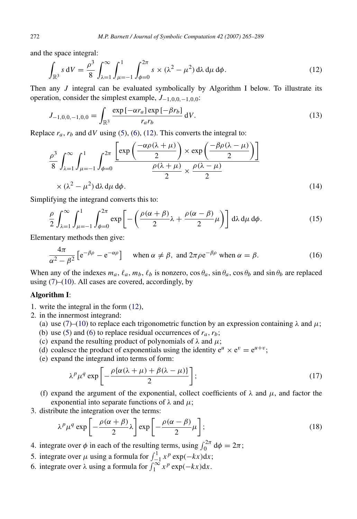and the space integral:

<span id="page-7-0"></span>
$$
\int_{\mathbb{R}^3} s \, \mathrm{d}V = \frac{\rho^3}{8} \int_{\lambda=1}^{\infty} \int_{\mu=-1}^{1} \int_{\phi=0}^{2\pi} s \times (\lambda^2 - \mu^2) \, \mathrm{d}\lambda \, \mathrm{d}\mu \, \mathrm{d}\phi. \tag{12}
$$

Then any *J* integral can be evaluated symbolically by Algorithm I below. To illustrate its operation, consider the simplest example, *J*−1,0,0,−1,0,0:

$$
J_{-1,0,0,-1,0,0} = \int_{\mathbb{R}^3} \frac{\exp\left[-\alpha r_a\right] \exp\left[-\beta r_b\right]}{r_a r_b} \, \mathrm{d}V. \tag{13}
$$

Replace  $r_a$ ,  $r_b$  and d*V* using [\(5\)](#page-6-0), [\(6\)](#page-6-1), [\(12\)](#page-7-0). This converts the integral to:

$$
\frac{\rho^3}{8} \int_{\lambda=1}^{\infty} \int_{\mu=-1}^{1} \int_{\phi=0}^{2\pi} \frac{\left[ \exp\left(\frac{-\alpha \rho (\lambda+\mu)}{2}\right) \times \exp\left(\frac{-\beta \rho (\lambda-\mu)}{2}\right) \right]}{\frac{\rho(\lambda+\mu)}{2} \times \frac{\rho(\lambda-\mu)}{2}} \times (\lambda^2 - \mu^2) d\lambda d\mu d\phi.
$$
\n(14)

Simplifying the integrand converts this to:

$$
\frac{\rho}{2} \int_{\lambda=1}^{\infty} \int_{\mu=-1}^{1} \int_{\phi=0}^{2\pi} \exp\left[-\left(\frac{\rho(\alpha+\beta)}{2}\lambda + \frac{\rho(\alpha-\beta)}{2}\mu\right)\right] d\lambda d\mu d\phi.
$$
 (15)

Elementary methods then give:

$$
\frac{4\pi}{\alpha^2 - \beta^2} \left[ e^{-\beta \rho} - e^{-\alpha \rho} \right] \quad \text{when } \alpha \neq \beta, \text{ and } 2\pi \rho e^{-\beta \rho} \text{ when } \alpha = \beta. \tag{16}
$$

When any of the indexes  $m_a$ ,  $\ell_a$ ,  $m_b$ ,  $\ell_b$  is nonzero,  $\cos \theta_a$ ,  $\sin \theta_a$ ,  $\cos \theta_b$  and  $\sin \theta_b$  are replaced using [\(7\)](#page-6-2)–[\(10\)](#page-6-3). All cases are covered, accordingly, by

# Algorithm I:

- 1. write the integral in the form [\(12\)](#page-7-0),
- 2. in the innermost integrand:
	- (a) use [\(7\)](#page-6-2)–[\(10\)](#page-6-3) to replace each trigonometric function by an expression containing  $\lambda$  and  $\mu$ ;
	- (b) use [\(5\)](#page-6-0) and [\(6\)](#page-6-1) to replace residual occurrences of  $r_a$ ,  $r_b$ ;
	- (c) expand the resulting product of polynomials of  $\lambda$  and  $\mu$ ;
	- (d) coalesce the product of exponentials using the identity  $e^u \times e^v = e^{u+v}$ ;
	- (e) expand the integrand into terms of form:

<span id="page-7-2"></span><span id="page-7-1"></span>
$$
\lambda^p \mu^q \exp\left[-\frac{\rho \{ \alpha (\lambda + \mu) + \beta (\lambda - \mu) \}}{2}\right];\tag{17}
$$

- (f) expand the argument of the exponential, collect coefficients of  $\lambda$  and  $\mu$ , and factor the exponential into separate functions of  $\lambda$  and  $\mu$ ;
- 3. distribute the integration over the terms:

$$
\lambda^p \mu^q \exp\left[-\frac{\rho(\alpha+\beta)}{2}\lambda\right] \exp\left[-\frac{\rho(\alpha-\beta)}{2}\mu\right];\tag{18}
$$

- 4. integrate over  $\phi$  in each of the resulting terms, using  $\int_0^{2\pi} d\phi = 2\pi$ ;
- 5. integrate over  $\mu$  using a formula for  $\int_{-1}^{1} x^p \exp(-kx) dx$ ;
- 6. integrate over  $\lambda$  using a formula for  $\int_{1}^{\infty} x^{p} \exp(-kx) dx$ .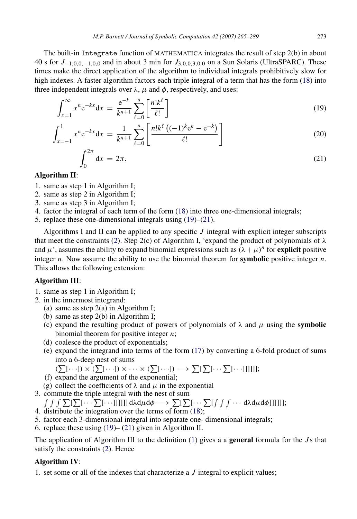The built-in Integrate function of MATHEMATICA integrates the result of step 2(b) in about 40 s for *J*−1,0,0,−1,0,<sup>0</sup> and in about 3 min for *J*3,0,0,3,0,<sup>0</sup> on a Sun Solaris (UltraSPARC). These times make the direct application of the algorithm to individual integrals prohibitively slow for high indexes. A faster algorithm factors each triple integral of a term that has the form [\(18\)](#page-7-1) into three independent integrals over  $\lambda$ ,  $\mu$  and  $\phi$ , respectively, and uses:

$$
\int_{x=1}^{\infty} x^n e^{-kx} dx = \frac{e^{-k}}{k^{n+1}} \sum_{\ell=0}^{n} \left[ \frac{n! k^{\ell}}{\ell!} \right]
$$
(19)

$$
\int_{x=-1}^{1} x^n e^{-kx} dx = \frac{1}{k^{n+1}} \sum_{\ell=0}^{n} \left[ \frac{n! k^{\ell} \left( (-1)^k e^k - e^{-k} \right)}{\ell!} \right]
$$
(20)

<span id="page-8-1"></span><span id="page-8-0"></span>
$$
\int_0^{2\pi} dx = 2\pi.
$$
\n(21)

# Algorithm II:

- 1. same as step 1 in Algorithm I;
- 2. same as step 2 in Algorithm I;
- 3. same as step 3 in Algorithm I;
- 4. factor the integral of each term of the form [\(18\)](#page-7-1) into three one-dimensional integrals;
- 5. replace these one-dimensional integrals using [\(19\)](#page-8-0)–[\(21\)](#page-8-1).

Algorithms I and II can be applied to any specific *J* integral with explicit integer subscripts that meet the constraints [\(2\)](#page-6-4). Step 2(c) of Algorithm I, 'expand the product of polynomials of  $\lambda$ and  $\mu'$ , assumes the ability to expand binomial expressions such as  $(\lambda + \mu)^n$  for **explicit** positive integer *n*. Now assume the ability to use the binomial theorem for **symbolic** positive integer *n*. This allows the following extension:

# Algorithm III:

- 1. same as step 1 in Algorithm I;
- 2. in the innermost integrand:
	- (a) same as step  $2(a)$  in Algorithm I;
	- (b) same as step 2(b) in Algorithm I;
	- (c) expand the resulting product of powers of polynomials of  $\lambda$  and  $\mu$  using the **symbolic** binomial theorem for positive integer *n*;
	- (d) coalesce the product of exponentials;
	- (e) expand the integrand into terms of the form [\(17\)](#page-7-2) by converting a 6-fold product of sums into a 6-deep nest of sums
		- $(\sum[\cdots]) \times (\sum[\cdots]) \times \cdots \times (\sum[\cdots]) \longrightarrow \sum[\sum[\cdots \sum[\cdots]]]]];$
	- (f) expand the argument of the exponential;
	- (g) collect the coefficients of  $\lambda$  and  $\mu$  in the exponential
- 3. commute the triple integral with the nest of sum

 $\int\int\int\sum [\sum[\cdots\sum[\cdots]]]]]]\,{\rm d}\lambda{\rm d}\mu{\rm d}\phi\longrightarrow \sum [\sum[\cdots\sum[\int\int\cdots{\rm d}\lambda{\rm d}\mu{\rm d}\phi]]]]];$ 

- 4. distribute the integration over the terms of form  $(18)$ ;
- 5. factor each 3-dimensional integral into separate one- dimensional integrals;
- 6. replace these using [\(19\)](#page-8-0) [\(21\)](#page-8-1) given in Algorithm II.

The application of Algorithm III to the definition [\(1\)](#page-5-2) gives a a general formula for the *J* s that satisfy the constraints [\(2\)](#page-6-4). Hence

# Algorithm IV:

1. set some or all of the indexes that characterize a *J* integral to explicit values;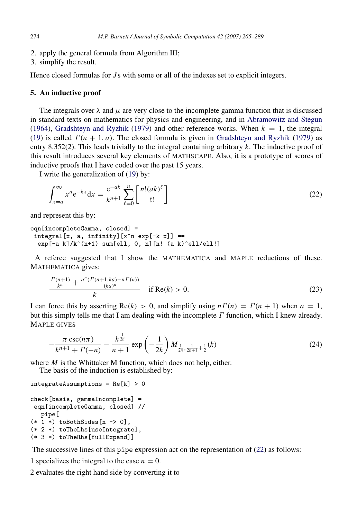- 2. apply the general formula from Algorithm III;
- 3. simplify the result.

Hence closed formulas for *J* s with some or all of the indexes set to explicit integers.

#### <span id="page-9-0"></span>5. An inductive proof

The integrals over  $\lambda$  and  $\mu$  are very close to the incomplete gamma function that is discussed in standard texts on mathematics for physics and engineering, and in [Abramowitz and Stegun](#page-23-3) [\(1964\)](#page-23-3), [Gradshteyn and Ryzhik](#page-24-17) [\(1979\)](#page-24-17) and other reference works. When  $k = 1$ , the integral [\(19\)](#page-8-0) is called  $\Gamma(n + 1, a)$ . The closed formula is given in [Gradshteyn and Ryzhik](#page-24-17) [\(1979\)](#page-24-17) as entry 8.352(2). This leads trivially to the integral containing arbitrary *k*. The inductive proof of this result introduces several key elements of MATHSCAPE. Also, it is a prototype of scores of inductive proofs that I have coded over the past 15 years.

I write the generalization of [\(19\)](#page-8-0) by:

<span id="page-9-1"></span>
$$
\int_{x=a}^{\infty} x^n e^{-kx} dx = \frac{e^{-ak}}{k^{n+1}} \sum_{\ell=0}^{n} \left[ \frac{n!(ak)^{\ell}}{\ell!} \right]
$$
(22)

and represent this by:

```
eqn[incompleteGamma, closed] =
 integral[x, a, infinity][x^n exp[-k x]] ==
 exp[-a k]/k^(n+1) sum[ell, 0, n][n! (a k)^ell/ell!]
```
A referee suggested that I show the MATHEMATICA and MAPLE reductions of these. MATHEMATICA gives:

$$
\frac{\frac{\Gamma(n+1)}{k^n} + \frac{a^n(\Gamma(n+1,ka) - n\Gamma(n))}{(ka)^n}}{k} \quad \text{if } \text{Re}(k) > 0. \tag{23}
$$

I can force this by asserting  $\text{Re}(k) > 0$ , and simplify using  $n\Gamma(n) = \Gamma(n + 1)$  when  $a = 1$ , but this simply tells me that I am dealing with the incomplete  $\Gamma$  function, which I knew already. MAPLE GIVES

$$
-\frac{\pi \csc(n\pi)}{k^{n+1} + \Gamma(-n)} - \frac{k^{\frac{1}{2n}}}{n+1} \exp\left(-\frac{1}{2k}\right) M_{\frac{1}{2n}, \frac{1}{2n+1} + \frac{1}{2}}(k)
$$
(24)

where *M* is the Whittaker M function, which does not help, either.

The basis of the induction is established by:

```
integrateAssumptions = Re[k] > 0
```

```
check[basis, gammaIncomplete] =
 eqn[incompleteGamma, closed] //
  pipe[
(* 1 *) to Both Sides [n -> 0],
(* 2 *) toTheLhs[useIntegrate],
(* 3 *) toTheRhs[fullExpand]]
```
The successive lines of this pipe expression act on the representation of [\(22\)](#page-9-1) as follows:

1 specializes the integral to the case  $n = 0$ .

2 evaluates the right hand side by converting it to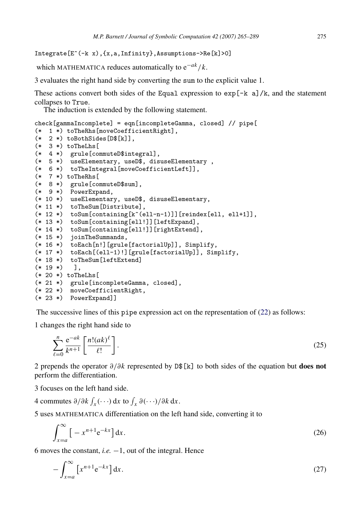Integrate[E^(-k x),{x,a,Infinity},Assumptions->Re[k]>0]

which MATHEMATICA reduces automatically to e−*ak*/*k*.

3 evaluates the right hand side by converting the sum to the explicit value 1.

These actions convert both sides of the Equal expression to  $\exp[-k \ a]/k$ , and the statement collapses to True.

The induction is extended by the following statement.

```
check[gammaIncomplete] = eqn[incompleteGamma, closed] // pipe[
(* 1 *) toTheRhs[moveCoefficientRight],
(* 2 *) toBothSides[D$[k]],
(* 3 *) toTheLhs[
(* 4 *) grule[commuteD$integral],
(* 5 *) useElementary, useD$, disuseElementary ,
(* 6 *) toTheIntegral[moveCoefficientLeft]],
(* 7 *) toTheRhs[
(* 8 *) grule[commuteD$sum],
(* 9 *) PowerExpand,
(* 10 *) useElementary, useD$, disuseElementary,
(* 11 *) toTheSum[Distribute],
(* 12 *) to Sum [containing [k^(ell-n-1)]][reindex[ell, ell+1]],
(* 13 *) toSum[containing[ell!]][leftExpand],
(* 14 *) toSum[containing[ell!]][rightExtend],
(* 15 *) joinTheSummands,
(* 16 *) toEach[n!][grule[factorialUp]], Simplify,
(* 17 *) toEach[(ell-1)!][grule[factorialUp]], Simplify,
(* 18 *) toTheSum[leftExtend]
(* 19 *) ],
(* 20 *) toTheLhs[
(* 21 *) grule[incompleteGamma, closed],
(* 22 *) moveCoefficientRight,
(* 23 *) PowerExpand]]
```
The successive lines of this pipe expression act on the representation of [\(22\)](#page-9-1) as follows:

1 changes the right hand side to

$$
\sum_{\ell=0}^{n} \frac{\mathrm{e}^{-ak}}{k^{n+1}} \left[ \frac{n!(ak)^{\ell}}{\ell!} \right]. \tag{25}
$$

2 prepends the operator  $\partial/\partial k$  represented by D\$[k] to both sides of the equation but **does not** perform the differentiation.

3 focuses on the left hand side.

4 commutes  $\partial/\partial k \int_X (\cdots) dx$  to  $\int_X \partial (\cdots)/\partial k dx$ .

5 uses MATHEMATICA differentiation on the left hand side, converting it to

$$
\int_{x=a}^{\infty} \left[ -x^{n+1} e^{-kx} \right] dx.
$$
 (26)

6 moves the constant, *i.e.* −1, out of the integral. Hence

$$
-\int_{x=a}^{\infty} \left[ x^{n+1} e^{-kx} \right] dx. \tag{27}
$$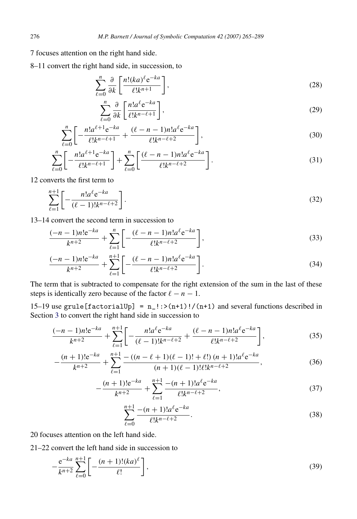7 focuses attention on the right hand side.

8–11 convert the right hand side, in succession, to

$$
\sum_{\ell=0}^{n} \frac{\partial}{\partial k} \left[ \frac{n! (ka)^{\ell} e^{-ka}}{\ell! k^{n+1}} \right],\tag{28}
$$

$$
\sum_{\ell=0}^{n} \frac{\partial}{\partial k} \left[ \frac{n! a^{\ell} e^{-ka}}{\ell! k^{n-\ell+1}} \right],\tag{29}
$$

$$
\sum_{\ell=0}^{n} \left[ -\frac{n! a^{\ell+1} e^{-ka}}{\ell! k^{n-\ell+1}} + \frac{(\ell-n-1)n! a^{\ell} e^{-ka}}{\ell! k^{n-\ell+2}} \right],
$$
\n(30)

$$
\sum_{\ell=0}^{n} \left[ -\frac{n! a^{\ell+1} e^{-ka}}{\ell! k^{n-\ell+1}} \right] + \sum_{\ell=0}^{n} \left[ \frac{(\ell-n-1)n! a^{\ell} e^{-ka}}{\ell! k^{n-\ell+2}} \right].
$$
\n(31)

12 converts the first term to

$$
\sum_{\ell=1}^{n+1} \left[ -\frac{n! a^{\ell} e^{-ka}}{(\ell-1)! k^{n-\ell+2}} \right].
$$
\n(32)

13–14 convert the second term in succession to

$$
\frac{(-n-1)n!e^{-ka}}{k^{n+2}} + \sum_{\ell=1}^{n} \left[ -\frac{(\ell-n-1)n!a^{\ell}e^{-ka}}{\ell!k^{n-\ell+2}} \right],
$$
\n(33)

$$
\frac{(-n-1)n!e^{-ka}}{k^{n+2}} + \sum_{\ell=1}^{n+1} \left[ -\frac{(\ell-n-1)n!a^{\ell}e^{-ka}}{\ell!k^{n-\ell+2}} \right].
$$
\n(34)

The term that is subtracted to compensate for the right extension of the sum in the last of these steps is identically zero because of the factor  $\ell - n - 1$ .

15–19 use grule [factorialUp] =  $n_l$ :>(n+1)!/(n+1) and several functions described in Section [3](#page-2-0) to convert the right hand side in succession to

$$
\frac{(-n-1)n!e^{-ka}}{k^{n+2}} + \sum_{\ell=1}^{n+1} \left[ -\frac{n!a^{\ell}e^{-ka}}{(\ell-1)!k^{n-\ell+2}} + \frac{(\ell-n-1)n!a^{\ell}e^{-ka}}{\ell!k^{n-\ell+2}} \right],
$$
(35)

$$
-\frac{(n+1)!e^{-ka}}{k^{n+2}} + \sum_{\ell=1}^{n+1} \frac{-((n-\ell+1)(\ell-1)! + \ell!)(n+1)!a^{\ell}e^{-ka}}{(n+1)(\ell-1)!\ell!k^{n-\ell+2}},
$$
(36)

$$
-\frac{(n+1)!e^{-ka}}{k^{n+2}} + \sum_{\ell=1}^{n+1} \frac{-(n+1)!a^{\ell}e^{-ka}}{\ell!k^{n-\ell+2}},
$$
\n(37)

<span id="page-11-1"></span><span id="page-11-0"></span>
$$
\sum_{\ell=0}^{n+1} \frac{-(n+1)! a^{\ell} e^{-ka}}{\ell! k^{n-\ell+2}}.
$$
\n(38)

20 focuses attention on the left hand side.

21–22 convert the left hand side in succession to

$$
-\frac{e^{-ka}}{k^{n+2}}\sum_{\ell=0}^{n+1}\left[-\frac{(n+1)!(ka)^{\ell}}{\ell!}\right],
$$
\n(39)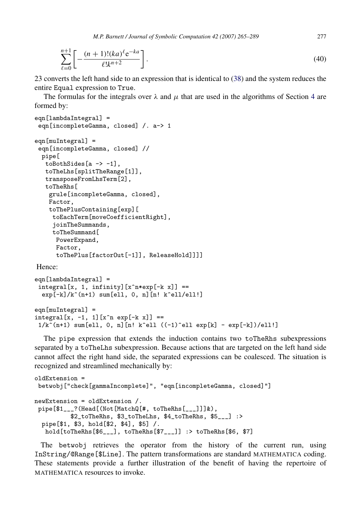*M.P. Barnett / Journal of Symbolic Computation 42 (2007) 265–289* 277

$$
\sum_{\ell=0}^{n+1} \left[ -\frac{(n+1)!(ka)^{\ell}e^{-ka}}{\ell!k^{n+2}} \right].
$$
\n(40)

23 converts the left hand side to an expression that is identical to [\(38\)](#page-11-1) and the system reduces the entire Equal expression to True.

The formulas for the integrals over  $\lambda$  and  $\mu$  that are used in the algorithms of Section [4](#page-5-0) are formed by:

```
eqn[lambdaIntegral] =
eqn[incompleteGamma, closed] /. a-> 1
eqn[muIntegral] =
eqn[incompleteGamma, closed] //
 pipe[
  toBothSides[a -> -1],
  toTheLhs[splitTheRange[1]],
   transposeFromLhsTerm[2],
   toTheRhs[
    grule[incompleteGamma, closed],
    Factor,
    toThePlusContaining[exp][
    toEachTerm[moveCoefficientRight],
     joinTheSummands,
    toTheSummand[
     PowerExpand,
     Factor,
      toThePlus[factorOut[-1]], ReleaseHold]]]]
```
Hence:

```
eqn[lambdaIntegral] =
 integral[x, 1, infinity] [x^n*exp[-k x]] ==exp[-k]/k^*(n+1) sum[ell, 0, n][n! k^ell/ell!]
eqn[muIntegral] =
integral[x, -1, 1][x^n exp[-k x]] ==
 1/k^{\sim}(n+1) sum[ell, 0, n][n! k^ell ((-1)^ell exp[k] - exp[-k])/ell!]
```
The pipe expression that extends the induction contains two toTheRhs subexpressions separated by a toTheLhs subexpression. Because actions that are targeted on the left hand side cannot affect the right hand side, the separated expressions can be coalesced. The situation is recognized and streamlined mechanically by:

```
oldExtension =
betwobj["check[gammaIncomplete]", "eqn[incompleteGamma, closed]"]
newExtension = oldExtension /.
pipe[$1___?(Head[(Not[MatchQ[#, toTheRhs[___]]]&),
          $2_toTheRhs, $3_toTheLhs, $4_toTheRhs, $5___] :>
 pipe[$1, $3, hold[$2, $4], $5] /.
   hold[toTheRhs[$6___], toTheRhs[$7___]] :> toTheRhs[$6, $7]
```
The betwobj retrieves the operator from the history of the current run, using InString/@Range[\$Line]. The pattern transformations are standard MATHEMATICA coding. These statements provide a further illustration of the benefit of having the repertoire of MATHEMATICA resources to invoke.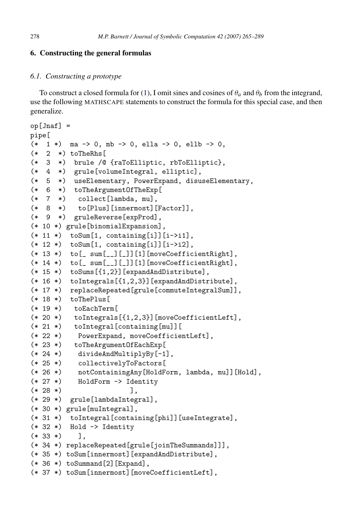# <span id="page-13-0"></span>6. Constructing the general formulas

# <span id="page-13-1"></span>*6.1. Constructing a prototype*

To construct a closed formula for [\(1\)](#page-5-2), I omit sines and cosines of  $\theta_a$  and  $\theta_b$  from the integrand, use the following MATHSCAPE statements to construct the formula for this special case, and then generalize.

```
op[Jnaf] =
pipe[
(* 1 *) ma -> 0, mb -> 0, ella -> 0, ellb -> 0,
(* 2 *) toTheRhs[
(* 3 *) brule /@ {raToElliptic, rbToElliptic},
(* 4 *) grule[volumeIntegral, elliptic],
(* 5 *) useElementary, PowerExpand, disuseElementary,
(* 6 *) toTheArgumentOfTheExp[
(* 7 *) collect[lambda, mu],
(* 8 *) to[Plus][innermost][Factor]],
(* 9 *) gruleReverse[expProd],
(* 10 *) grule[binomialExpansion],
(* 11 *) to Sum [1, containing [i] [i->i1],
(* 12 *) to Sum [1, containing [i] [i->i2],
(* 13 *) to[_ sum[__][_]][1][moveCoefficientRight],
(* 14 *) to[_ sum[__][_]][1][moveCoefficientRight],
(* 15 *) toSums[{1,2}][expandAndDistribute],
(* 16 *) toIntegrals[{1,2,3}][expandAndDistribute],
(* 17 *) replaceRepeated[grule[commuteIntegralSum]],
(* 18 *) toThePlus[
(* 19 *) toEachTerm[
(* 20 *) toIntegrals[{1,2,3}][moveCoefficientLeft],
(* 21 *) toIntegral[containing[mu]][
(* 22 *) PowerExpand, moveCoefficientLeft],
(* 23 *) toTheArgumentOfEachExp[
(* 24 *) divideAndMultiplyBy[-1],
(* 25 *) collectivelyToFactors[
(* 26 *) notContainingAny[HoldForm, lambda, mu]][Hold],
(* 27 *) HoldForm -> Identity
(* 28 *) ],
(* 29 *) grule[lambdaIntegral],
(* 30 *) grule[muIntegral],
(* 31 *) toIntegral[containing[phi]][useIntegrate],
(* 32 *) Hold -> Identity
(* 33 *) ],
(* 34 *) replaceRepeated[grule[joinTheSummands]]],
(* 35 *) toSum[innermost][expandAndDistribute],
(* 36 *) toSummand [2] [Expand],
(* 37 *) toSum[innermost][moveCoefficientLeft],
```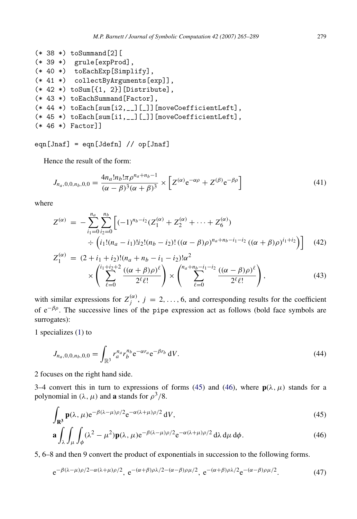```
(* 38 *) to Summand [2](* 39 *) grule[expProd],
(* 40 *) toEachExp[Simplify],
(* 41 *) collectByArguments[exp]],
(* 42 *) toSum[{1, 2}][Distribute],
(* 43 *) toEachSummand[Factor],
(* 44 *) toEach[sum[i2,__][_]][moveCoefficientLeft],
(* 45 *) toEach[sum[i1,__][_]][moveCoefficientLeft],
(* 46 *) Factor]]
```
 $eqn[Jnaf] = eqn[Jdefn]$  //  $op[Jnaf]$ 

Hence the result of the form:

<span id="page-14-2"></span>
$$
J_{n_a,0,0,n_b,0,0} = \frac{4n_a!n_b!\pi\rho^{n_a+n_b-1}}{(\alpha-\beta)^3(\alpha+\beta)^3} \times \left[ Z^{(\alpha)}e^{-\alpha\rho} + Z^{(\beta)}e^{-\beta\rho} \right]
$$
(41)

where

<span id="page-14-4"></span>
$$
Z^{(\alpha)} = -\sum_{i_1=0}^{n_a} \sum_{i_2=0}^{n_b} \left[ (-1)^{n_b - i_2} (Z_1^{(\alpha)} + Z_2^{(\alpha)} + \dots + Z_6^{(\alpha)}) \right. \\
\left. \qquad \qquad \div \left( i_1! (n_a - i_1)! i_2! (n_b - i_2)! \left( (\alpha - \beta) \rho \right)^{n_a + n_b - i_1 - i_2} \left( (\alpha + \beta) \rho \right)^{i_1 + i_2} \right) \right] \tag{42}
$$
\n
$$
Z_1^{(\alpha)} = (2 + i_1 + i_2)! (n_a + n_b - i_1 - i_2)! \alpha^2 \left( i_1 + i_2 + 2 \left( (\alpha + \beta) \right) \right).
$$

<span id="page-14-3"></span>
$$
\times \left( \sum_{\ell=0}^{i_1+i_2+2} \frac{((\alpha+\beta)\rho)^{\ell}}{2^{\ell}\ell!} \right) \times \left( \sum_{\ell=0}^{n_a+n_b-i_1-i_2} \frac{((\alpha-\beta)\rho)^{\ell}}{2^{\ell}\ell!} \right), \tag{43}
$$

with similar expressions for  $Z_i^{(\alpha)}$  $j^{(\alpha)}$ ,  $j = 2, \ldots, 6$ , and corresponding results for the coefficient of  $e^{-\beta \rho}$ . The successive lines of the pipe expression act as follows (bold face symbols are surrogates):

1 specializes [\(1\)](#page-5-2) to

$$
J_{n_a,0,0,n_b,0,0} = \int_{\mathbb{R}^3} r_a^{n_a} r_b^{n_b} e^{-\alpha r_a} e^{-\beta r_b} dV.
$$
 (44)

2 focuses on the right hand side.

3–4 convert this in turn to expressions of forms [\(45\)](#page-14-0) and [\(46\)](#page-14-1), where  $p(\lambda, \mu)$  stands for a polynomial in  $(\lambda, \mu)$  and **a** stands for  $\rho^3/8$ .

<span id="page-14-0"></span>
$$
\int_{\mathbf{R}^3} \mathbf{p}(\lambda, \mu) e^{-\beta(\lambda - \mu)\rho/2} e^{-\alpha(\lambda + \mu)\rho/2} dV,
$$
\n(45)

<span id="page-14-1"></span>
$$
\mathbf{a} \int_{\lambda} \int_{\mu} \int_{\phi} (\lambda^2 - \mu^2) \mathbf{p}(\lambda, \mu) e^{-\beta(\lambda - \mu)\rho/2} e^{-\alpha(\lambda + \mu)\rho/2} d\lambda d\mu d\phi.
$$
 (46)

5, 6–8 and then 9 convert the product of exponentials in succession to the following forms.

$$
e^{-\beta(\lambda-\mu)\rho/2-\alpha(\lambda+\mu)\rho/2}, e^{-(\alpha+\beta)\rho\lambda/2-(\alpha-\beta)\rho\mu/2}, e^{-(\alpha+\beta)\rho\lambda/2}e^{-(\alpha-\beta)\rho\mu/2}.
$$
 (47)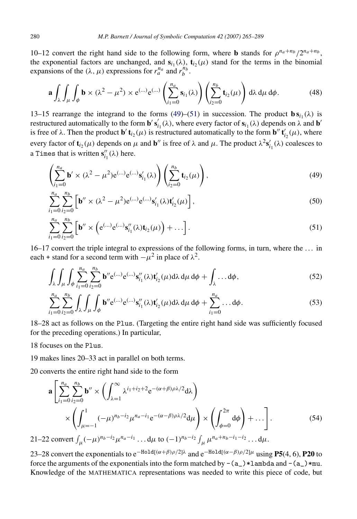10–12 convert the right hand side to the following form, where **b** stands for  $\rho^{n_a+n_b}/2^{n_a+n_b}$ , the exponential factors are unchanged, and  $s_{i_1}(\lambda)$ ,  $t_{i_2}(\mu)$  stand for the terms in the binomial expansions of the  $(\lambda, \mu)$  expressions for  $r_a^{n_a}$  and  $r_b^{n_b}$ .

$$
\mathbf{a} \int_{\lambda} \int_{\mu} \int_{\phi} \mathbf{b} \times (\lambda^2 - \mu^2) \times e^{(\ldots)} e^{(\ldots)} \left( \sum_{i_1=0}^{n_a} \mathbf{s}_{i_1}(\lambda) \right) \left( \sum_{i_2=0}^{n_b} \mathbf{t}_{i_2}(\mu) \right) d\lambda d\mu d\phi.
$$
 (48)

13–15 rearrange the integrand to the forms [\(49\)](#page-15-0)–[\(51\)](#page-15-1) in succession. The product  $\mathbf{b} s_{i_1}(\lambda)$  is restructured automatically to the form  $\mathbf{b}' s'_i$  $i_1'(\lambda)$ , where every factor of  $\mathbf{s}_{i_1}(\lambda)$  depends on  $\lambda$  and **b**<sup>*i*</sup> is free of  $\lambda$ . Then the product **b'**  $\mathbf{t}_{i_2}(\mu)$  is restructured automatically to the form **b**''  $\mathbf{t}'_{i_2}(\mu)$ , where every factor of  $\mathbf{t}_{i_2}(\mu)$  depends on  $\mu$  and  $\mathbf{b}''$  is free of  $\lambda$  and  $\mu$ . The product  $\lambda^2 s'_{i_1}(\lambda)$  coalesces to a Times that is written  $\mathbf{s}''_{i_1}(\lambda)$  here.

<span id="page-15-0"></span>
$$
\left(\sum_{i_1=0}^{n_a} \mathbf{b}' \times (\lambda^2 - \mu^2) e^{(\ldots)} e^{(\ldots)} \mathbf{s}'_{i_1}(\lambda)\right) \left(\sum_{i_2=0}^{n_b} \mathbf{t}_{i_2}(\mu)\right),\tag{49}
$$

$$
\sum_{i_1=0}^{n_a} \sum_{i_2=0}^{n_b} \left[ \mathbf{b}'' \times (\lambda^2 - \mu^2) e^{(\ldots)} \mathbf{e}^{(\ldots)} \mathbf{s}'_{i_1}(\lambda) \mathbf{t}'_{i_2}(\mu) \right],
$$
 (50)

<span id="page-15-1"></span>
$$
\sum_{i_1=0}^{n_a} \sum_{i_2=0}^{n_b} \left[ \mathbf{b}'' \times \left( e^{(\ldots)} e^{(\ldots)} \mathbf{s}_{i_1}''(\lambda) \mathbf{t}_{i_2}(\mu) \right) + \ldots \right]. \tag{51}
$$

16–17 convert the triple integral to expressions of the following forms, in turn, where the . . . in each + stand for a second term with  $-\mu^2$  in place of  $\lambda^2$ .

$$
\int_{\lambda} \int_{\mu} \int_{\phi} \sum_{i_1=0}^{n_a} \sum_{i_2=0}^{n_b} \mathbf{b}'' \mathbf{e}^{(\ldots)} \mathbf{e}^{(\ldots)} \mathbf{s}_{i_1}''(\lambda) \mathbf{t}_{i_2}'(\mu) d\lambda d\mu d\phi + \int_{\lambda} \ldots d\phi,
$$
\n(52)

$$
\sum_{i_1=0}^{n_a} \sum_{i_2=0}^{n_b} \int_{\lambda} \int_{\mu} \int_{\phi} \mathbf{b}'' \mathbf{e}^{(\ldots)} \mathbf{e}^{(\ldots)} \mathbf{s}_{i_1}''(\lambda) \mathbf{t}_{i_2}'(\mu) d\lambda d\mu d\phi + \sum_{i_1=0}^{n_a} \ldots d\phi.
$$
 (53)

18–28 act as follows on the Plus. (Targeting the entire right hand side was sufficiently focused for the preceding operations.) In particular,

18 focuses on the Plus.

19 makes lines 20–33 act in parallel on both terms.

20 converts the entire right hand side to the form

$$
\mathbf{a} \left[ \sum_{i_1=0}^{n_a} \sum_{i_2=0}^{n_b} \mathbf{b}'' \times \left( \int_{\lambda=1}^{\infty} \lambda^{i_1+i_2+2} e^{-(\alpha+\beta)\rho\lambda/2} d\lambda \right) \times \left( \int_{\mu=-1}^{1} (-\mu)^{n_b-i_2} \mu^{n_a-i_1} e^{-(\alpha-\beta)\rho\lambda/2} d\mu \right) \times \left( \int_{\phi=0}^{2\pi} d\phi \right) + \dots \right].
$$
\n
$$
21-22 \text{ convert } \int_{\mu} (-\mu)^{n_b-i_2} \mu^{n_a-i_1} \dots d\mu \text{ to } (-1)^{n_b-i_2} \int_{\mu} \mu^{n_a+n_b-i_1-i_2} \dots d\mu.
$$
\n(54)

23–28 convert the exponentials to  $e^{-H \text{old}[(\alpha+\beta)\rho/2]\lambda}$  and  $e^{-H \text{old}[(\alpha-\beta)\rho/2]\mu}$  using **P5**(4, 6), **P20** to force the arguments of the exponentials into the form matched by  $-(a_{-})*lambda$  and  $-(a_{-})*mu$ . Knowledge of the MATHEMATICA representations was needed to write this piece of code, but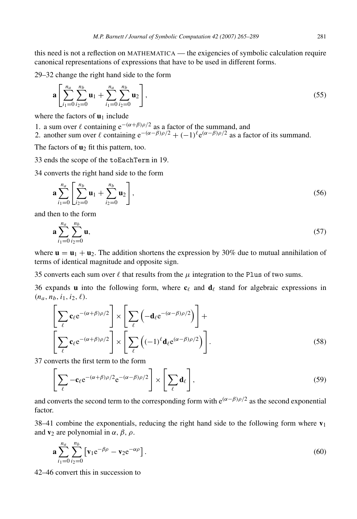this need is not a reflection on MATHEMATICA — the exigencies of symbolic calculation require canonical representations of expressions that have to be used in different forms.

29–32 change the right hand side to the form

$$
\mathbf{a} \left[ \sum_{i_1=0}^{n_a} \sum_{i_2=0}^{n_b} \mathbf{u}_1 + \sum_{i_1=0}^{n_a} \sum_{i_2=0}^{n_b} \mathbf{u}_2 \right],
$$
\n(55)

where the factors of  $\mathbf{u}_1$  include

1. a sum over  $\ell$  containing  $e^{-(\alpha+\beta)\rho/2}$  as a factor of the summand, and

2. another sum over  $\ell$  containing  $e^{-(\alpha-\beta)\rho/2} + (-1)^{\ell} e^{(\alpha-\beta)\rho/2}$  as a factor of its summand.

The factors of  $\mathbf{u}_2$  fit this pattern, too.

33 ends the scope of the toEachTerm in 19.

34 converts the right hand side to the form

$$
\mathbf{a} \sum_{i_1=0}^{n_a} \left[ \sum_{i_2=0}^{n_b} \mathbf{u}_1 + \sum_{i_2=0}^{n_b} \mathbf{u}_2 \right],\tag{56}
$$

and then to the form

$$
\mathbf{a} \sum_{i_1=0}^{n_a} \sum_{i_2=0}^{n_b} \mathbf{u},\tag{57}
$$

where  $\mathbf{u} = \mathbf{u}_1 + \mathbf{u}_2$ . The addition shortens the expression by 30% due to mutual annihilation of terms of identical magnitude and opposite sign.

35 converts each sum over  $\ell$  that results from the  $\mu$  integration to the Plus of two sums.

36 expands **u** into the following form, where  $c_\ell$  and  $d_\ell$  stand for algebraic expressions in  $(n_a, n_b, i_1, i_2, \ell).$ 

$$
\left[\sum_{\ell} \mathbf{c}_{\ell} e^{-(\alpha+\beta)\rho/2}\right] \times \left[\sum_{\ell} \left(-\mathbf{d}_{\ell} e^{-(\alpha-\beta)\rho/2}\right)\right] + \left[\sum_{\ell} \mathbf{c}_{\ell} e^{-(\alpha+\beta)\rho/2}\right] \times \left[\sum_{\ell} \left((-1)^{\ell} \mathbf{d}_{\ell} e^{(\alpha-\beta)\rho/2}\right)\right].
$$
\n(58)

37 converts the first term to the form

$$
\left[\sum_{\ell} -\mathbf{c}_{\ell} e^{-(\alpha+\beta)\rho/2} e^{-(\alpha-\beta)\rho/2}\right] \times \left[\sum_{\ell} \mathbf{d}_{\ell}\right],\tag{59}
$$

and converts the second term to the corresponding form with  $e^{(\alpha-\beta)/2}$  as the second exponential factor.

38–41 combine the exponentials, reducing the right hand side to the following form where  $v_1$ and  $\mathbf{v}_2$  are polynomial in  $\alpha$ ,  $\beta$ ,  $\rho$ .

$$
\mathbf{a} \sum_{i_1=0}^{n_a} \sum_{i_2=0}^{n_b} \left[ \mathbf{v}_1 e^{-\beta \rho} - \mathbf{v}_2 e^{-\alpha \rho} \right]. \tag{60}
$$

42–46 convert this in succession to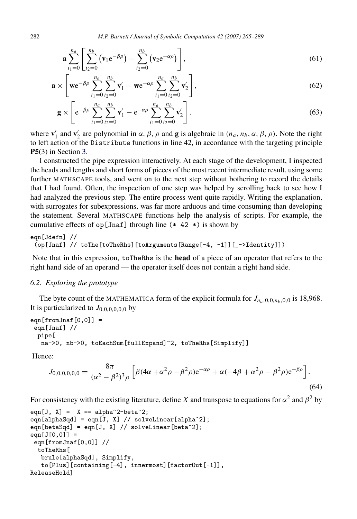$$
\mathbf{a} \sum_{i_1=0}^{n_a} \left[ \sum_{i_2=0}^{n_b} (\mathbf{v}_1 e^{-\beta \rho}) - \sum_{i_2=0}^{n_b} (\mathbf{v}_2 e^{-\alpha \rho}) \right], \tag{61}
$$

$$
\mathbf{a} \times \left[ \mathbf{w} e^{-\beta \rho} \sum_{i_1=0}^{n_a} \sum_{i_2=0}^{n_b} \mathbf{v}'_1 - \mathbf{w} e^{-\alpha \rho} \sum_{i_1=0}^{n_a} \sum_{i_2=0}^{n_b} \mathbf{v}'_2 \right],
$$
(62)

<span id="page-17-1"></span>
$$
\mathbf{g} \times \left[ e^{-\beta \rho} \sum_{i_1=0}^{n_a} \sum_{i_2=0}^{n_b} \mathbf{v}'_1 - e^{-\alpha \rho} \sum_{i_1=0}^{n_a} \sum_{i_2=0}^{n_b} \mathbf{v}'_2 \right].
$$
 (63)

where  $\mathbf{v}'_1$  and  $\mathbf{v}'_2$  are polynomial in  $\alpha$ ,  $\beta$ ,  $\rho$  and **g** is algebraic in  $(n_a, n_b, \alpha, \beta, \rho)$ . Note the right to left action of the Distribute functions in line 42, in accordance with the targeting principle P5(3) in Section [3.](#page-2-0)

I constructed the pipe expression interactively. At each stage of the development, I inspected the heads and lengths and short forms of pieces of the most recent intermediate result, using some further MATHSCAPE tools, and went on to the next step without bothering to record the details that I had found. Often, the inspection of one step was helped by scrolling back to see how I had analyzed the previous step. The entire process went quite rapidly. Writing the explanation, with surrogates for subexpressions, was far more arduous and time consuming than developing the statement. Several MATHSCAPE functions help the analysis of scripts. For example, the cumulative effects of  $op[Jnaf]$  through line (\* 42 \*) is shown by

```
eqn[Jdefn] //
(op[Jnaf] // toThe[toTheRhs][toArguments[Range[-4, -1]][_->Identity]])
```
Note that in this expression, toTheRhs is the head of a piece of an operator that refers to the right hand side of an operand — the operator itself does not contain a right hand side.

#### <span id="page-17-0"></span>*6.2. Exploring the prototype*

The byte count of the MATHEMATICA form of the explicit formula for  $J_{n_a,0,0,n_b,0,0}$  is 18,968. It is particularized to  $J_{0.0,0,0,0,0}$  by

```
eqn[fromJnaf[0,0]] =eqn[Jnaf] //
 pipe[
  na->0, nb->0, toEachSum[fullExpand]^2, toTheRhs[Simplify]]
```
Hence:

$$
J_{0,0,0,0,0,0} = \frac{8\pi}{(\alpha^2 - \beta^2)^3 \rho} \left[ \beta (4\alpha + \alpha^2 \rho - \beta^2 \rho) e^{-\alpha \rho} + \alpha (-4\beta + \alpha^2 \rho - \beta^2 \rho) e^{-\beta \rho} \right].
$$
\n(64)

For consistency with the existing literature, define *X* and transpose to equations for  $\alpha^2$  and  $\beta^2$  by

```
eqn[J, X] = X == alpha^2-beta^2;eqn[alphaSqd] = eqn[J, X] // solveLinear[alpha^2];
eqn[betaSqd] = eqn[J, X] // solveLinear[beta^2];
eqn[J[0,0]] =
 eqn[fromJnaf[0,0]] //
 toTheRhs[
   brule[alphaSqd], Simplify,
   to[Plus][containing[-4], innermost][factorOut[-1]],
ReleaseHold]
```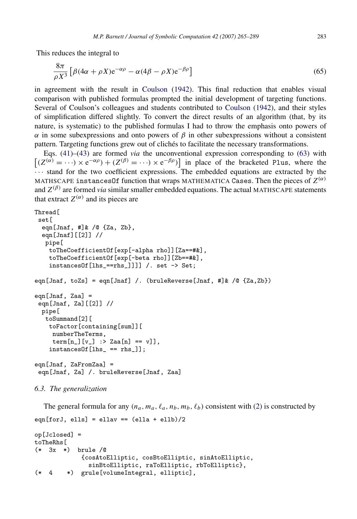This reduces the integral to

$$
\frac{8\pi}{\rho X^3} \left[ \beta (4\alpha + \rho X) e^{-\alpha \rho} - \alpha (4\beta - \rho X) e^{-\beta \rho} \right]
$$
\n(65)

in agreement with the result in [Coulson](#page-24-14) [\(1942\)](#page-24-14). This final reduction that enables visual comparison with published formulas prompted the initial development of targeting functions. Several of Coulson's colleagues and students contributed to [Coulson](#page-24-14) [\(1942\)](#page-24-14), and their styles of simplification differed slightly. To convert the direct results of an algorithm (that, by its nature, is systematic) to the published formulas I had to throw the emphasis onto powers of  $\alpha$  in some subexpressions and onto powers of  $\beta$  in other subexpressions without a consistent pattern. Targeting functions grew out of cliches to facilitate the necessary transformations.

Eqs. [\(41\)](#page-14-2)–[\(43\)](#page-14-3) are formed *via* the unconventional expression corresponding to [\(63\)](#page-17-1) with  $[(Z^{(\alpha)} = \cdots) \times e^{-\alpha \rho}) + (Z^{(\beta)} = \cdots) \times e^{-\beta \rho}]$  in place of the bracketed Plus, where the · · · stand for the two coefficient expressions. The embedded equations are extracted by the <code>MATHSCAPE</code> instances<code>Of</code> function that wraps MATHEMATICA <code>Cases</code>. Then the pieces of  $Z^{(\alpha)}$ and  $Z^{(\beta)}$  are formed *via* similar smaller embedded equations. The actual MATHSCAPE statements that extract  $Z^{(\alpha)}$  and its pieces are

```
Thread<sup>[</sup>
 set.<sub>[</sub>
  eqn[Jnaf, #]& /@ {Za, Zb},
  eqn[Jnaf][[2]] //
   pipe[
    toTheCoefficientOf[exp[-alpha rho]][Za==#&],
    toTheCoefficientOf[exp[-beta rho]][Zb==#&],
    instancesOf[lhs_==rhs_]]]] /. set -> Set;
eqn[Jnaf, toZs] = eqn[Jnaf] /. (bruleReverse[Jnaf, #]& /@ {Za,Zb})
eqn[Jnaf, Zaa] =
 eqn[Jnaf, Za][[2]] //
  pipe[
   toSummand[2][
    toFactor[containing[sum]][
     numberTheTerms,
     term[n_{]}[v_{]} : > Zaa[n] == v];instancesOf[lhs_ == rhs_]];
eqn[Jnaf, ZaFromZaa] =
 eqn[Jnaf, Za] /. bruleReverse[Jnaf, Zaa]
```
#### <span id="page-18-0"></span>*6.3. The generalization*

The general formula for any  $(n_a, m_a, \ell_a, n_b, m_b, \ell_b)$  consistent with [\(2\)](#page-6-4) is constructed by  $eqn[forJ, ells] = ellenV = (ella + ells)/2$ op[Jclosed] = toTheRhs[ (\* 3x \*) brule /@ {cosAtoElliptic, cosBtoElliptic, sinAtoElliptic, sinBtoElliptic, raToElliptic, rbToElliptic}, (\* 4 \*) grule[volumeIntegral, elliptic],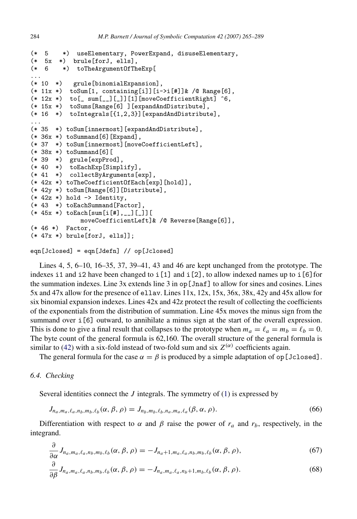```
(* 5 *) useElementary, PowerExpand, disuseElementary,
(* 5x *) brule[forJ, ells],<br>(* 6 *) toTheArgumentOfTh
        (* 6 *) toTheArgumentOfTheExp[
...<br>(* 10 *)
          grule[binomialExpansion],
(* 11x *) to Sum [1, containing [i]][i->i[#]] & /@ Range[6],
(* 12x *) to [- \text{sum}[-1][1][1] [moveCoefficientRight] \hat{ } 6,
(* 15x *) toSums[Range[6] ][expandAndDistribute],
(* 16 *) toIntegrals[{1,2,3}][expandAndDistribute],
...
(* 35 *) toSum[innermost][expandAndDistribute],
(* 36x *) toSummand[6] [Expand],
(* 37 *) toSum[innermost][moveCoefficientLeft],
(* 38x *) toSummand[6][
(* 39 *) grule[expProd],
(* 40 *) toEachExp[Simplify],
(* 41 *) collectByArguments[exp],
(* 42x *) toTheCoefficientOfEach[exp][hold]],
(* 42y *) toSum[Range[6]][Distribute],
(* 42z *) hold -> Identity,
(* 43 *) toEachSummand[Factor],
(* 45x *) to Each [sum [i][#], _ ] [ ] ] [
              moveCoefficientLeft]& /@ Reverse[Range[6]],
(* 46 *) Factor,
(* 47x *) brule[forJ, ells]];
```

```
eqn[Jclosed] = eqn[Jdefn] // op[Jclosed]
```
Lines 4, 5, 6–10, 16–35, 37, 39–41, 43 and 46 are kept unchanged from the prototype. The indexes i1 and i2 have been changed to i[1] and i[2], to allow indexed names up to i[6]for the summation indexes. Line 3x extends line 3 in op [Jnaf] to allow for sines and cosines. Lines 5x and 47x allow for the presence of ellav. Lines 11x, 12x, 15x, 36x, 38x, 42y and 45x allow for six binomial expansion indexes. Lines 42x and 42z protect the result of collecting the coefficients of the exponentials from the distribution of summation. Line 45x moves the minus sign from the summand over  $i[6]$  outward, to annihilate a minus sign at the start of the overall expression. This is done to give a final result that collapses to the prototype when  $m_a = \ell_a = m_b = \ell_b = 0$ . The byte count of the general formula is 62,160. The overall structure of the general formula is similar to [\(42\)](#page-14-4) with a six-fold instead of two-fold sum and six  $Z^{(\alpha)}$  coefficients again.

The general formula for the case  $\alpha = \beta$  is produced by a simple adaptation of op [Jclosed].

### *6.4. Checking*

∂

Several identities connect the *J* integrals. The symmetry of [\(1\)](#page-5-2) is expressed by

$$
J_{n_a, m_a, \ell_a, n_b, m_b, \ell_b}(\alpha, \beta, \rho) = J_{n_b, m_b, \ell_b, n_a, m_a, \ell_a}(\beta, \alpha, \rho).
$$
 (66)

Differentiation with respect to  $\alpha$  and  $\beta$  raise the power of  $r_a$  and  $r_b$ , respectively, in the integrand.

$$
\frac{\partial}{\partial \alpha} J_{n_a, m_a, \ell_a, n_b, m_b, \ell_b}(\alpha, \beta, \rho) = -J_{n_a+1, m_a, \ell_a, n_b, m_b, \ell_b}(\alpha, \beta, \rho),\tag{67}
$$

$$
\frac{\partial}{\partial \beta} J_{n_a, m_a, \ell_a, n_b, m_b, \ell_b}(\alpha, \beta, \rho) = -J_{n_a, m_a, \ell_a, n_b+1, m_b, \ell_b}(\alpha, \beta, \rho). \tag{68}
$$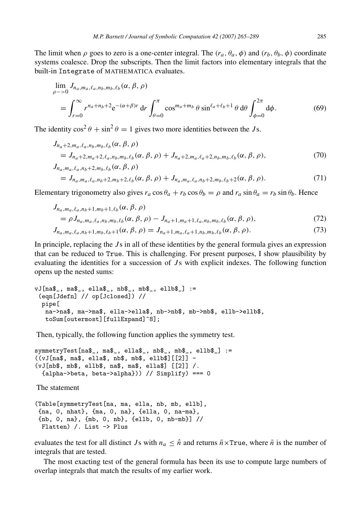The limit when  $\rho$  goes to zero is a one-center integral. The  $(r_a, \theta_a, \phi)$  and  $(r_b, \theta_b, \phi)$  coordinate systems coalesce. Drop the subscripts. Then the limit factors into elementary integrals that the built-in Integrate of MATHEMATICA evaluates.

$$
\lim_{\rho \to 0} J_{n_a, m_a, \ell_a, n_b, m_b, \ell_b}(\alpha, \beta, \rho)
$$
\n
$$
= \int_{r=0}^{\infty} r^{n_a + n_b + 2} e^{-(\alpha + \beta)r} dr \int_{\theta=0}^{\pi} \cos^{m_a + m_b} \theta \sin^{\ell_a + \ell_b + 1} \theta d\theta \int_{\phi=0}^{2\pi} d\phi.
$$
\n(69)

The identity  $\cos^2 \theta + \sin^2 \theta = 1$  gives two more identities between the *J* s.

$$
J_{n_a+2,m_a,\ell_a,n_b,m_b,\ell_b}(\alpha, \beta, \rho)
$$
  
=  $J_{n_a+2,m_a+2,\ell_a,n_b,m_b,\ell_b}(\alpha, \beta, \rho) + J_{n_a+2,m_a,\ell_a+2,n_b,m_b,\ell_b}(\alpha, \beta, \rho),$   
 $J_{n_a,m_a,\ell_a,n_b+2,m_b,\ell_b}(\alpha, \beta, \rho)$   
=  $J_{n_a,m_a,\ell_a,n_b+2,m_b+2,\ell_b}(\alpha, \beta, \rho) + J_{n_a,m_a,\ell_a,n_b+2,m_b,\ell_b+2}(\alpha, \beta, \rho).$  (71)

Elementary trigonometry also gives  $r_a \cos \theta_a + r_b \cos \theta_b = \rho$  and  $r_a \sin \theta_a = r_b \sin \theta_b$ . Hence

$$
J_{n_a, m_a, \ell_a, n_b+1, m_b+1, \ell_b}(\alpha, \beta, \rho)
$$
  
=  $\rho J_{n_a, m_a, \ell_a, n_b, m_b, \ell_b}(\alpha, \beta, \rho) - J_{n_a+1, m_a+1, \ell_a, n_b, m_b, \ell_b}(\alpha, \beta, \rho),$   

$$
J_{n_a, m_a, \ell_a, n_b+1, m_b, \ell_b+1}(\alpha, \beta, \rho) = J_{n_a+1, m_a, \ell_a+1, n_b, m_b, \ell_b}(\alpha, \beta, \rho).
$$
 (72)

In principle, replacing the *J* s in all of these identities by the general formula gives an expression that can be reduced to True. This is challenging. For present purposes, I show plausibility by evaluating the identities for a succession of *J*s with explicit indexes. The following function opens up the nested sums:

```
vJ[na$_, ma$_, ella$_, nb$_, mb$_, ellb$_] :=
 (eqn[Jdefn] // op[Jclosed]) //
 pipe[
   na->na$, ma->ma$, ella->ella$, nb->nb$, mb->mb$, ellb->ellb$,
   toSum[outermost][fullExpand]^8];
```
Then, typically, the following function applies the symmetry test.

```
symmetryTest[na$_, ma$_, ella$_, nb$_, mb$_, ellb$_] :=
((vJ[na$, ma$, ella$, nb$, mb$, ellb$][[2]] -
(vJ[nb$, mb$, ellb$, na$, ma$, ella$] [[2]] /.
  {alpha->beta, beta->alpha})) // Simplify) === 0
```
The statement

```
(Table[symmetryTest[na, ma, ella, nb, mb, ellb],
{na, 0, nhat}, {ma, 0, na}, {ella, 0, na-ma},
{nb, 0, na}, {mb, 0, nb}, {ellb, 0, nb-mb}] //
 Flatten) /. List -> Plus
```
evaluates the test for all distinct *J*s with  $n_a \leq \hat{n}$  and returns  $\bar{n} \times \text{True}$ , where  $\bar{n}$  is the number of integrals that are tested.

The most exacting test of the general formula has been its use to compute large numbers of overlap integrals that match the results of my earlier work.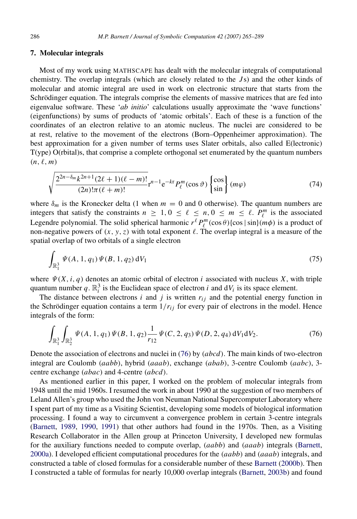# <span id="page-21-0"></span>7. Molecular integrals

Most of my work using MATHSCAPE has dealt with the molecular integrals of computational chemistry. The overlap integrals (which are closely related to the *J* s) and the other kinds of molecular and atomic integral are used in work on electronic structure that starts from the Schrödinger equation. The integrals comprise the elements of massive matrices that are fed into eigenvalue software. These '*ab initio*' calculations usually approximate the 'wave functions' (eigenfunctions) by sums of products of 'atomic orbitals'. Each of these is a function of the coordinates of an electron relative to an atomic nucleus. The nuclei are considered to be at rest, relative to the movement of the electrons (Born–Oppenheimer approximation). The best approximation for a given number of terms uses Slater orbitals, also called E(lectronic) T(ype) O(rbital)s, that comprise a complete orthogonal set enumerated by the quantum numbers  $(n, \ell, m)$ 

$$
\sqrt{\frac{2^{2n-\delta_m}k^{2n+1}(2\ell+1)(\ell-m)!}{(2n)!\pi(\ell+m)!}}\mathbf{r}^{n-1}\mathbf{e}^{-k\mathbf{r}}P_{\ell}^m(\cos\vartheta)\begin{Bmatrix}\cos\\ \sin\end{Bmatrix}\begin{pmatrix}m\varphi\end{pmatrix}
$$
(74)

where  $\delta_m$  is the Kronecker delta (1 when  $m = 0$  and 0 otherwise). The quantum numbers are integers that satisfy the constraints  $n \geq 1, 0 \leq \ell \leq n, 0 \leq m \leq \ell$ .  $P_{\ell}^{m}$  is the associated Legendre polynomial. The solid spherical harmonic  $r^{\ell} P_{\ell}^{m}(\cos \theta) \{\cos |\sin \}(m\phi)$  is a product of non-negative powers of  $(x, y, z)$  with total exponent  $\ell$ . The overlap integral is a measure of the spatial overlap of two orbitals of a single electron

$$
\int_{\mathbb{R}^3_1} \Psi(A, 1, q_1) \Psi(B, 1, q_2) \, dV_1 \tag{75}
$$

where  $\Psi(X, i, q)$  denotes an atomic orbital of electron *i* associated with nucleus *X*, with triple quantum number  $q$ .  $\mathbb{R}^3$  is the Euclidean space of electron *i* and  $dV$ *i* is its space element.

The distance between electrons  $i$  and  $j$  is written  $r_{ij}$  and the potential energy function in the Schrödinger equation contains a term  $1/r_{ij}$  for every pair of electrons in the model. Hence integrals of the form:

<span id="page-21-1"></span>
$$
\int_{\mathbb{R}^3_1} \int_{\mathbb{R}^3_2} \Psi(A, 1, q_1) \Psi(B, 1, q_2) \frac{1}{r_{12}} \Psi(C, 2, q_3) \Psi(D, 2, q_4) dV_1 dV_2.
$$
 (76)

Denote the association of electrons and nuclei in [\(76\)](#page-21-1) by (*abcd*). The main kinds of two-electron integral are Coulomb (*aabb*), hybrid (*aaab*), exchange (*abab*), 3-centre Coulomb (*aabc*), 3 centre exchange (*abac*) and 4-centre (*abcd*).

As mentioned earlier in this paper, I worked on the problem of molecular integrals from 1948 until the mid 1960s. I resumed the work in about 1990 at the suggestion of two members of Leland Allen's group who used the John von Neuman National Supercomputer Laboratory where I spent part of my time as a Visiting Scientist, developing some models of biological information processing. I found a way to circumvent a convergence problem in certain 3-centre integrals [\(Barnett,](#page-23-4) [1989,](#page-23-4) [1990,](#page-23-5) [1991\)](#page-23-6) that other authors had found in the 1970s. Then, as a Visiting Research Collaborator in the Allen group at Princeton University, I developed new formulas for the auxiliary functions needed to compute overlap, (*aabb*) and (*aaab*) integrals [\(Barnett,](#page-23-7) [2000a\)](#page-23-7). I developed efficient computational procedures for the (*aabb*) and (*aaab*) integrals, and constructed a table of closed formulas for a considerable number of these [Barnett](#page-24-18) [\(2000b\)](#page-24-18). Then I constructed a table of formulas for nearly 10,000 overlap integrals [\(Barnett,](#page-24-0) [2003b\)](#page-24-0) and found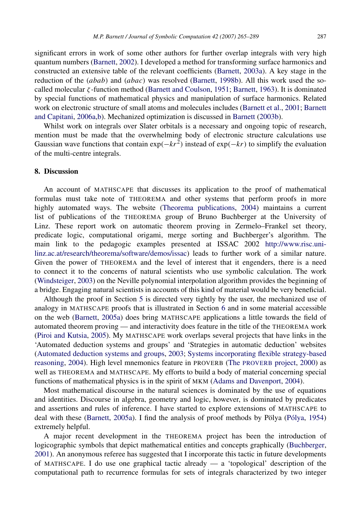significant errors in work of some other authors for further overlap integrals with very high quantum numbers [\(Barnett,](#page-24-16) [2002\)](#page-24-16). I developed a method for transforming surface harmonics and constructed an extensive table of the relevant coefficients [\(Barnett,](#page-24-19) [2003a\)](#page-24-19). A key stage in the reduction of the (*abab*) and (*abac*) was resolved [\(Barnett,](#page-23-8) [1998b\)](#page-23-8). All this work used the socalled molecular  $\zeta$ -function method [\(Barnett and Coulson,](#page-24-8) [1951;](#page-24-8) [Barnett,](#page-23-0) [1963\)](#page-23-0). It is dominated by special functions of mathematical physics and manipulation of surface harmonics. Related work on electronic structure of small atoms and molecules includes [\(Barnett et al.,](#page-24-20) [2001;](#page-24-20) [Barnett](#page-24-21) [and Capitani,](#page-24-21) [2006a](#page-24-21)[,b\)](#page-24-22). Mechanized optimization is discussed in [Barnett](#page-24-0) [\(2003b\)](#page-24-0).

Whilst work on integrals over Slater orbitals is a necessary and ongoing topic of research, mention must be made that the overwhelming body of electronic structure calculations use Gaussian wave functions that contain  $\exp(-kr^2)$  instead of  $\exp(-kr)$  to simplify the evaluation of the multi-centre integrals.

#### <span id="page-22-0"></span>8. Discussion

An account of MATHSCAPE that discusses its application to the proof of mathematical formulas must take note of THEOREMA and other systems that perform proofs in more highly automated ways. The website [\(Theorema publications,](#page-24-23) [2004\)](#page-24-23) maintains a current list of publications of the THEOREMA group of Bruno Buchberger at the University of Linz. These report work on automatic theorem proving in Zermelo–Frankel set theory, predicate logic, computational origami, merge sorting and Buchberger's algorithm. The main link to the pedagogic examples presented at ISSAC 2002 [http://www.risc.uni](#page-24-24)[linz.ac.at/research/theorema/software/demos/issac\)](#page-24-24) leads to further work of a similar nature. Given the power of THEOREMA and the level of interest that it engenders, there is a need to connect it to the concerns of natural scientists who use symbolic calculation. The work [\(Windsteiger,](#page-24-25) [2003\)](#page-24-25) on the Neville polynomial interpolation algorithm provides the beginning of a bridge. Engaging natural scientists in accounts of this kind of material would be very beneficial.

Although the proof in Section [5](#page-9-0) is directed very tightly by the user, the mechanized use of analogy in MATHSCAPE proofs that is illustrated in Section [6](#page-13-0) and in some material accessible on the web [\(Barnett,](#page-24-26) [2005a\)](#page-24-26) does bring MATHSCAPE applications a little towards the field of automated theorem proving — and interactivity does feature in the title of the THEOREMA work [\(Piroi and Kutsia,](#page-24-27) [2005\)](#page-24-27). My MATHSCAPE work overlaps several projects that have links in the 'Automated deduction systems and groups' and 'Strategies in automatic deduction' websites [\(Automated deduction systems and groups,](#page-23-9) [2003;](#page-23-9) [Systems incorporating flexible strategy-based](#page-24-28) [reasoning,](#page-24-28) [2004\)](#page-24-28). High level mnemonics feature in PROVERB (The [PROVERB](#page-24-29) project, [2000\)](#page-24-29) as well as THEOREMA and MATHSCAPE. My efforts to build a body of material concerning special functions of mathematical physics is in the spirit of MKM [\(Adams and Davenport,](#page-23-10) [2004\)](#page-23-10).

Most mathematical discourse in the natural sciences is dominated by the use of equations and identities. Discourse in algebra, geometry and logic, however, is dominated by predicates and assertions and rules of inference. I have started to explore extensions of MATHSCAPE to deal with these [\(Barnett,](#page-24-26) [2005a\)](#page-24-26). I find the analysis of proof methods by Pölya (Pólya, [1954\)](#page-24-30) extremely helpful.

A major recent development in the THEOREMA project has been the introduction of logicographic symbols that depict mathematical entities and concepts graphically [\(Buchberger,](#page-24-31) [2001\)](#page-24-31). An anonymous referee has suggested that I incorporate this tactic in future developments of MATHSCAPE. I do use one graphical tactic already — a 'topological' description of the computational path to recurrence formulas for sets of integrals characterized by two integer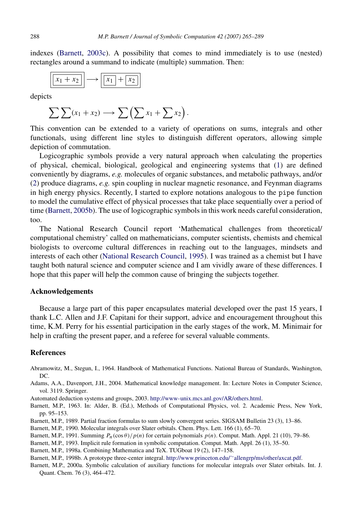indexes [\(Barnett,](#page-24-32) [2003c\)](#page-24-32). A possibility that comes to mind immediately is to use (nested) rectangles around a summand to indicate (multiple) summation. Then:

$$
\boxed{x_1 + x_2} \longrightarrow \boxed{x_1 + x_2}
$$

depicts

$$
\sum \sum (x_1 + x_2) \longrightarrow \sum \left( \sum x_1 + \sum x_2 \right).
$$

This convention can be extended to a variety of operations on sums, integrals and other functionals, using different line styles to distinguish different operators, allowing simple depiction of commutation.

Logicographic symbols provide a very natural approach when calculating the properties of physical, chemical, biological, geological and engineering systems that [\(1\)](#page-5-2) are defined conveniently by diagrams, *e.g.* molecules of organic substances, and metabolic pathways, and/or [\(2\)](#page-6-4) produce diagrams, *e.g.* spin coupling in nuclear magnetic resonance, and Feynman diagrams in high energy physics. Recently, I started to explore notations analogous to the pipe function to model the cumulative effect of physical processes that take place sequentially over a period of time [\(Barnett,](#page-24-33) [2005b\)](#page-24-33). The use of logicographic symbols in this work needs careful consideration, too.

The National Research Council report 'Mathematical challenges from theoretical/ computational chemistry' called on mathematicians, computer scientists, chemists and chemical biologists to overcome cultural differences in reaching out to the languages, mindsets and interests of each other [\(National Research Council,](#page-24-34) [1995\)](#page-24-34). I was trained as a chemist but I have taught both natural science and computer science and I am vividly aware of these differences. I hope that this paper will help the common cause of bringing the subjects together.

# Acknowledgements

Because a large part of this paper encapsulates material developed over the past 15 years, I thank L.C. Allen and J.F. Capitani for their support, advice and encouragement throughout this time, K.M. Perry for his essential participation in the early stages of the work, M. Minimair for help in crafting the present paper, and a referee for several valuable comments.

# References

- <span id="page-23-3"></span>Abramowitz, M., Stegun, I., 1964. Handbook of Mathematical Functions. National Bureau of Standards, Washington, DC.
- <span id="page-23-10"></span>Adams, A.A., Davenport, J.H., 2004. Mathematical knowledge management. In: Lecture Notes in Computer Science, vol. 3119. Springer.
- <span id="page-23-9"></span>Automated deduction systems and groups, 2003. [http://www-unix.mcs.anl.gov/AR/others.html.](http://www-unix.mcs.anl.gov/AR/others.html)
- <span id="page-23-0"></span>Barnett, M.P., 1963. In: Alder, B. (Ed.), Methods of Computational Physics, vol. 2. Academic Press, New York, pp. 95–153.
- <span id="page-23-4"></span>Barnett, M.P., 1989. Partial fraction formulas to sum slowly convergent series. SIGSAM Bulletin 23 (3), 13–86.
- <span id="page-23-5"></span>Barnett, M.P., 1990. Molecular integrals over Slater orbitals. Chem. Phys. Lett. 166 (1), 65–70.
- <span id="page-23-6"></span>Barnett, M.P., 1991. Summing  $P_n(\cos \theta) / p(n)$  for certain polynomials  $p(n)$ . Comput. Math. Appl. 21 (10), 79–86.
- <span id="page-23-1"></span>Barnett, M.P., 1993. Implicit rule formation in symbolic computation. Comput. Math. Appl. 26 (1), 35–50.
- <span id="page-23-2"></span>Barnett, M.P., 1998a. Combining Mathematica and TeX. TUGboat 19 (2), 147–158.

<span id="page-23-8"></span>Barnett, M.P., 1998b. A prototype three-center integral. [http://www.princeton.edu/](http://www.princeton.edu/~allengrp/ms/other/axcat.pdf)∼[allengrp/ms/other/axcat.pdf.](http://www.princeton.edu/~allengrp/ms/other/axcat.pdf)

<span id="page-23-7"></span>Barnett, M.P., 2000a. Symbolic calculation of auxiliary functions for molecular integrals over Slater orbitals. Int. J. Quant. Chem. 76 (3), 464–472.